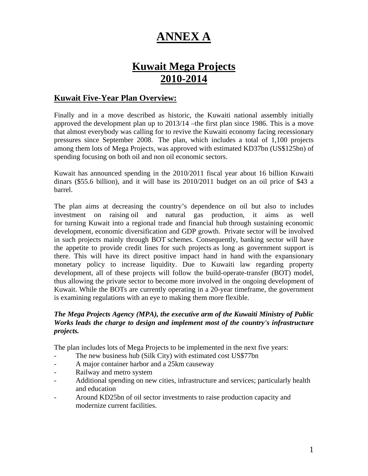# **ANNEX A**

# **Kuwait Mega Projects 2010-2014**

# **Kuwait Five-Year Plan Overview:**

Finally and in a move described as historic, the Kuwaiti national assembly initially approved the development plan up to 2013/14 –the first plan since 1986. This is a move that almost everybody was calling for to revive the Kuwaiti economy facing recessionary pressures since September 2008. The plan, which includes a total of 1,100 projects among them lots of Mega Projects, was approved with estimated KD37bn (US\$125bn) of spending focusing on both oil and non oil economic sectors.

Kuwait has announced spending in the 2010/2011 fiscal year about 16 billion Kuwaiti dinars (\$55.6 billion), and it will base its 2010/2011 budget on an oil price of \$43 a barrel.

The plan aims at decreasing the country's dependence on oil but also to includes investment on raising oil and natural gas production, it aims as well for turning Kuwait into a regional trade and financial hub through sustaining economic development, economic diversification and GDP growth. Private sector will be involved in such projects mainly through BOT schemes. Consequently, banking sector will have the appetite to provide credit lines for such projects as long as government support is there. This will have its direct positive impact hand in hand with the expansionary monetary policy to increase liquidity. Due to Kuwaiti law regarding property development, all of these projects will follow the build-operate-transfer (BOT) model, thus allowing the private sector to become more involved in the ongoing development of Kuwait. While the BOTs are currently operating in a 20-year timeframe, the government is examining regulations with an eye to making them more flexible.

### *The Mega Projects Agency (MPA), the executive arm of the Kuwaiti [Ministry of Public](http://www.zawya.com/cm/profile.cfm/cid1003749)  [Works](http://www.zawya.com/cm/profile.cfm/cid1003749) leads the charge to design and implement most of the country's infrastructure projects.*

The plan includes lots of Mega Projects to be implemented in the next five years:

- The new business hub (Silk City) with estimated cost US\$77bn
- A major container harbor and a 25km causeway
- Railway and metro system
- Additional spending on new cities, infrastructure and services; particularly health and education
- Around KD25bn of oil sector investments to raise production capacity and modernize current facilities.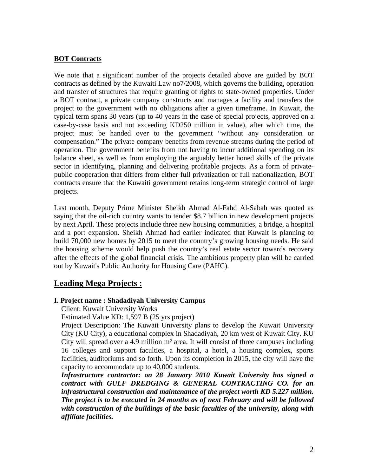#### **BOT Contracts**

We note that a significant number of the projects detailed above are guided by BOT contracts as defined by the Kuwaiti Law no7/2008, which governs the building, operation and transfer of structures that require granting of rights to state-owned properties. Under a BOT contract, a private company constructs and manages a facility and transfers the project to the government with no obligations after a given timeframe. In Kuwait, the typical term spans 30 years (up to 40 years in the case of special projects, approved on a case-by-case basis and not exceeding KD250 million in value), after which time, the project must be handed over to the government "without any consideration or compensation." The private company benefits from revenue streams during the period of operation. The government benefits from not having to incur additional spending on its balance sheet, as well as from employing the arguably better honed skills of the private sector in identifying, planning and delivering profitable projects. As a form of privatepublic cooperation that differs from either full privatization or full nationalization, BOT contracts ensure that the Kuwaiti government retains long-term strategic control of large projects.

Last month, Deputy Prime Minister Sheikh Ahmad Al-Fahd Al-Sabah was quoted as saying that the oil-rich country wants to tender \$8.7 billion in new development projects by next April. These projects include three new housing communities, a bridge, a hospital and a port expansion. Sheikh Ahmad had earlier indicated that Kuwait is planning to build 70,000 new homes by 2015 to meet the country's growing housing needs. He said the housing scheme would help push the country's real estate sector towards recovery after the effects of the global financial crisis. The ambitious property plan will be carried out by Kuwait's Public Authority for Housing Care (PAHC).

# **Leading Mega Projects :**

#### **I. Project name : Shadadiyah University Campus**

Client: Kuwait University Works

Estimated Value KD: 1,597 B (25 yrs project)

Project Description: The Kuwait University plans to develop the Kuwait University City (KU City), a educational complex in Shadadiyah, 20 km west of Kuwait City. KU City will spread over a 4.9 million m² area. It will consist of three campuses including 16 colleges and support faculties, a hospital, a hotel, a housing complex, sports facilities, auditoriums and so forth. Upon its completion in 2015, the city will have the capacity to accommodate up to 40,000 students.

*Infrastructure contractor: on 28 January 2010 Kuwait University has signed a contract with GULF DREDGING & GENERAL CONTRACTING CO. for an infrastructural construction and maintenance of the project worth KD 5.227 million. The project is to be executed in 24 months as of next February and will be followed with construction of the buildings of the basic faculties of the university, along with affiliate facilities.*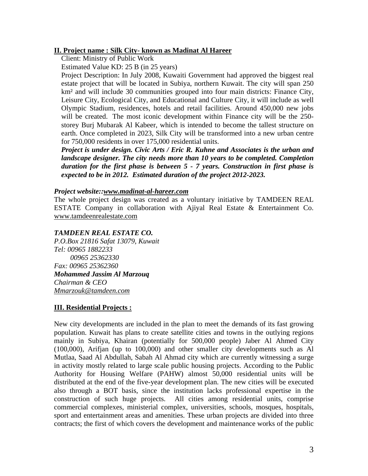#### **II. Project name : Silk City- known as Madinat Al Hareer**

Client: Ministry of Public Work

Estimated Value KD: 25 B (in 25 years)

Project Description: In July 2008, Kuwaiti Government had approved the biggest real estate project that will be located in Subiya, northern Kuwait. The city will span 250 km² and will include 30 communities grouped into four main districts: Finance City, Leisure City, Ecological City, and Educational and Culture City, it will include as well Olympic Stadium, residences, hotels and retail facilities. Around 450,000 new jobs will be created. The most iconic development within Finance city will be the 250 storey Burj Mubarak Al Kabeer, which is intended to become the tallest structure on earth. Once completed in 2023, Silk City will be transformed into a new urban centre for 750,000 residents in over 175,000 residential units.

*Project is under design. Civic Arts / Eric R. Kuhne and Associates is the urban and landscape designer. The city needs more than 10 years to be completed. Completion duration for the first phase is between 5 - 7 years. Construction in first phase is expected to be in 2012. Estimated duration of the project 2012-2023.* 

#### *Project website:[:www.madinat-al-hareer.com](http://www.madinat-al-hareer.com/)*

The whole project design was created as a voluntary initiative by TAMDEEN REAL ESTATE Company in collaboration with Ajiyal Real Estate & Entertainment Co. [www.tamdeenrealestate.com](http://www.tamdeenrealestate.com/)

# *TAMDEEN REAL ESTATE CO.*

*P.O.Box 21816 Safat 13079, Kuwait Tel: 00965 1882233 00965 25362330 Fax: 00965 25362360 Mohammed Jassim Al Marzouq Chairman & CEO [Mmarzouk@tamdeen.com](mailto:Mmarzouk@tamdeen.com)*

#### **III. Residential Projects :**

New city developments are included in the plan to meet the demands of its fast growing population. Kuwait has plans to create satellite cities and towns in the outlying regions mainly in Subiya, Khairan (potentially for 500,000 people) Jaber Al Ahmed City (100,000), Arifjan (up to 100,000) and other smaller city developments such as Al Mutlaa, Saad Al Abdullah, Sabah Al Ahmad city which are currently witnessing a surge in activity mostly related to large scale public housing projects. According to the Public Authority for Housing Welfare (PAHW) almost 50,000 residential units will be distributed at the end of the five-year development plan. The new cities will be executed also through a BOT basis, since the institution lacks professional expertise in the construction of such huge projects. All cities among residential units, comprise commercial complexes, ministerial complex, universities, schools, mosques, hospitals, sport and entertainment areas and amenities. These urban projects are divided into three contracts; the first of which covers the development and maintenance works of the public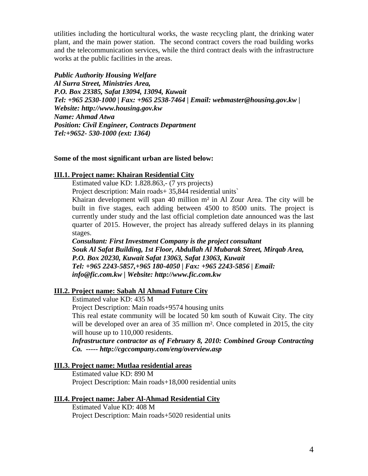utilities including the horticultural works, the waste recycling plant, the drinking water plant, and the main power station. The second contract covers the road building works and the telecommunication services, while the third contract deals with the infrastructure works at the public facilities in the areas.

#### *Public Authority Housing Welfare*

*Al Surra Street, Ministries Area, P.O. Box 23385, Safat 13094, 13094, Kuwait Tel: +965 2530-1000 | Fax: +965 2538-7464 | Email: [webmaster@housing.gov.kw](mailto:webmaster@housing.gov.kw) | Website: [http://www.housing.gov.kw](http://www.housing.gov.kw/) Name: Ahmad Atwa Position: Civil Engineer, Contracts Department Tel:+9652- 530-1000 (ext: 1364)*

#### **Some of the most significant urban are listed below:**

#### **III.1. Project name: Khairan Residential City**

Estimated value KD: 1.828.863,- (7 yrs projects)

Project description: Main roads+ 35,844 residential units`

Khairan development will span 40 million  $m<sup>2</sup>$  in Al Zour Area. The city will be built in five stages, each adding between 4500 to 8500 units. The project is currently under study and the last official completion date announced was the last quarter of 2015. However, the project has already suffered delays in its planning stages.

*Consultant: First Investment Company is the project consultant Souk Al Safat Building, 1st Floor, Abdullah Al Mubarak Street, Mirqab Area, P.O. Box 20230, Kuwait Safat 13063, Safat 13063, Kuwait Tel: +965 2243-5857,+965 180-4050 | Fax: +965 2243-5856 | Email: [info@fic.com.kw](mailto:info@fic.com.kw) | Website: [http://www.fic.com.kw](http://www.fic.com.kw/)*

#### **III.2. Project name: Sabah Al Ahmad Future City**

Estimated value KD: 435 M

Project Description: Main roads+9574 housing units

This real estate community will be located 50 km south of Kuwait City. The city will be developed over an area of 35 million m<sup>2</sup>. Once completed in 2015, the city will house up to 110,000 residents.

*Infrastructure contractor as of February 8, 2010: Combined Group Contracting Co. ----- <http://cgccompany.com/eng/overview.asp>*

#### **III.3. Project name: Mutlaa residential areas**

Estimated value KD: 890 M Project Description: Main roads+18,000 residential units

#### **III.4. Project name: Jaber Al-Ahmad Residential City**

Estimated Value KD: 408 M Project Description: Main roads+5020 residential units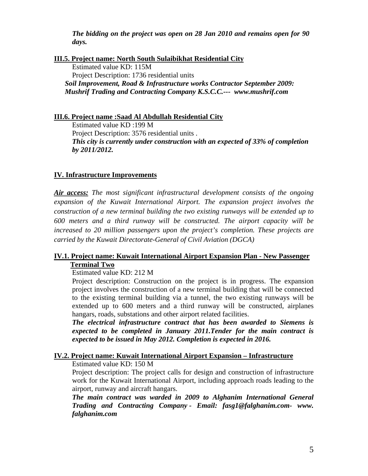*The bidding on the project was open on 28 Jan 2010 and remains open for 90 days.* 

*<sup>U</sup>***III.5. Project name: North South Sulaibikhat Residential City** Estimated value KD: 115M Project Description: 1736 residential units *Soil Improvement, Road & Infrastructure works Contractor September 2009: Mushrif Trading and Contracting Company K.S.C.C.--- [www.mushrif.com](http://www.mushrif.com/)* 

*<sup>U</sup>***III.6. Project name :Saad Al Abdullah Residential City**

Estimated value KD :199 M Project Description: 3576 residential units . *This city is currently under construction with an expected of 33% of completion by 2011/2012.*

### *<sup>U</sup>***IV. Infrastructure Improvements**

*Air access: The most significant infrastructural development consists of the ongoing expansion of the Kuwait International Airport. The expansion project involves the construction of a new terminal building the two existing runways will be extended up to 600 meters and a third runway will be constructed. The airport capacity will be increased to 20 million passengers upon the project's completion. These projects are carried by the Kuwait Directorate-General of Civil Aviation (DGCA)*

### *<sup>U</sup>***IV.1. Project name: Kuwait International Airport Expansion Plan - New Passenger**  *<sup>U</sup>***Terminal Two**

#### Estimated value KD: 212 M

Project description: Construction on the project is in progress. The expansion project involves the construction of a new terminal building that will be connected to the existing terminal building via a tunnel, the two existing runways will be extended up to 600 meters and a third runway will be constructed, airplanes hangars, roads, substations and other airport related facilities.

*The electrical infrastructure contract that has been awarded to Siemens is expected to be completed in January 2011.Tender for the main contract is expected to be issued in May 2012. Completion is expected in 2016.*

# *<sup>U</sup>***IV.2. Project name: Kuwait International Airport Expansion – Infrastructure**

Estimated value KD: 150 M

Project description: The project calls for design and construction of infrastructure work for the Kuwait International Airport, including approach roads leading to the airport, runway and aircraft hangars.

*The main contract was warded in 2009 to Alghanim International General Trading and Contracting Company - Email: [fasg1@falghanim.com](mailto:fasg1@falghanim.com)- www. falghanim.com*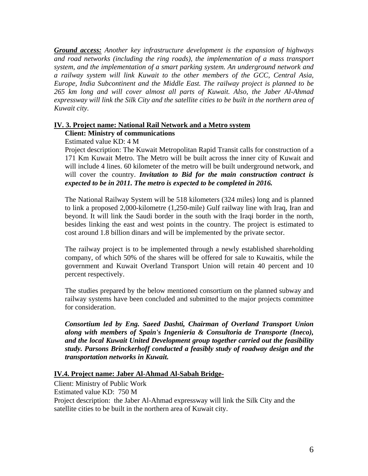*Ground access: Another key infrastructure development is the expansion of highways and road networks (including the ring roads), the implementation of a mass transport system, and the implementation of a smart parking system. An underground network and a railway system will link Kuwait to the other members of the GCC, Central Asia, Europe, India Subcontinent and the Middle East. The railway project is planned to be 265 km long and will cover almost all parts of Kuwait. Also, the Jaber Al-Ahmad expressway will link the Silk City and the satellite cities to be built in the northern area of Kuwait city.*

#### **Client: Ministry of communications IV. 3. Project name: National Rail Network and a Metro system**

Estimated value KD: 4 M

Project description: The Kuwait Metropolitan Rapid Transit calls for construction of a 171 Km Kuwait Metro. The Metro will be built across the inner city of Kuwait and will include 4 lines. 60 kilometer of the metro will be built underground network, and will cover the country. *Invitation to Bid for the main construction contract is expected to be in 2011. The metro is expected to be completed in 2016.* 

The National Railway System will be 518 kilometers (324 miles) long and is planned to link a proposed 2,000-kilometre (1,250-mile) Gulf railway line with Iraq, Iran and beyond. It will link the Saudi border in the south with the Iraqi border in the north, besides linking the east and west points in the country. The project is estimated to cost around 1.8 billion dinars and will be implemented by the private sector.

The railway project is to be implemented through a newly established shareholding company, of which 50% of the shares will be offered for sale to Kuwaitis, while the government and Kuwait Overland Transport Union will retain 40 percent and 10 percent respectively.

The studies prepared by the below mentioned consortium on the planned subway and railway systems have been concluded and submitted to the major projects committee for consideration.

*Consortium led by Eng. Saeed Dashti, Chairman of Overland Transport Union along with members of Spain's Ingenieria & Consultoria de Transporte (Ineco), and the local Kuwait United Development group together carried out the feasibility study. Parsons Brinckerhoff conducted a feasibly study of roadway design and the transportation networks in Kuwait.* 

### **IV.4. P roject name: Jaber Al-Ahmad Al-Sabah Bridge-**

Client: Ministry of Public Work Estimated value KD: 750 M Project description: the Jaber Al-Ahmad expressway will link the Silk City and the satellite cities to be built in the northern area of Kuwait city.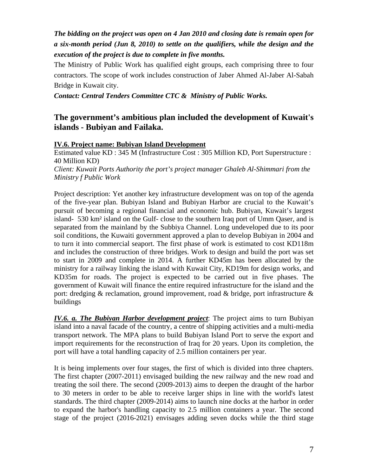# *The bidding on the project was open on 4 Jan 2010 and closing date is remain open for a six-month period (Jun 8, 2010) to settle on the qualifiers, while the design and the execution of the project is due to complete in five months.*

The Ministry of Public Work has qualified eight groups, each comprising three to four contractors. The scope of work includes construction of Jaber Ahmed Al-Jaber Al-Sabah Bridge in Kuwait city.

*Contact: Central Tenders Committee CTC & Ministry of Public Works.*

# **The government's ambitious plan included the development of Kuwait's islands - Bubiyan and Failaka.**

# **IV.6. Project name: Bubiyan Island Development**

Estimated value KD : 345 M (Infrastructure Cost : 305 Million KD, Port Superstructure : 40 Million KD)

*Client: Kuwait Ports Authority the port's project manager Ghaleb Al-Shimmari from the Ministry f Public Work*

Project description: Yet another key infrastructure development was on top of the agenda of the five-year plan. Bubiyan Island and Bubiyan Harbor are crucial to the Kuwait's pursuit of becoming a regional financial and economic hub. Bubiyan, Kuwait's largest island- 530 km² island on the Gulf- close to the southern Iraq port of Umm Qaser, and is separated from the mainland by the Subbiya Channel. Long undeveloped due to its poor soil conditions, the Kuwaiti government approved a plan to develop Bubiyan in 2004 and to turn it into commercial seaport. The first phase of work is estimated to cost KD118m and includes the construction of three bridges. Work to design and build the port was set to start in 2009 and complete in 2014. A further KD45m has been allocated by the ministry for a railway linking the island with Kuwait City, KD19m for design works, and KD35m for roads. The project is expected to be carried out in five phases. The government of Kuwait will finance the entire required infrastructure for the island and the port: dredging & reclamation, ground improvement, road & bridge, port infrastructure & buildings

*IV.6. a. The Bubiyan Harbor development project*: The project aims to turn Bubiyan island into a naval facade of the country, a centre of shipping activities and a multi-media transport network. The MPA plans to build Bubiyan Island Port to serve the export and import requirements for the reconstruction of Iraq for 20 years. Upon its completion, the port will have a total handling capacity of 2.5 million containers per year.

It is being implements over four stages, the first of which is divided into three chapters. The first chapter (2007-2011) envisaged building the new railway and the new road and treating the soil there. The second (2009-2013) aims to deepen the draught of the harbor to 30 meters in order to be able to receive larger ships in line with the world's latest standards. The third chapter (2009-2014) aims to launch nine docks at the harbor in order to expand the harbor's handling capacity to 2.5 million containers a year. The second stage of the project (2016-2021) envisages adding seven docks while the third stage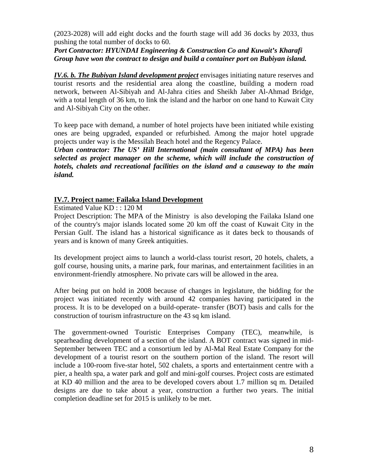(2023-2028) will add eight docks and the fourth stage will add 36 docks by 2033, thus pushing the total number of docks to 60.

*Port Contractor: HYUNDAI Engineering & Construction Co and Kuwait's Kharafi Group have won the contract to design and build a container port on Bubiyan island.*

*IV.6. b. The Bubiyan Island development project* envisages initiating nature reserves and tourist resorts and the residential area along the coastline, building a modern road network, between Al-Sibiyah and Al-Jahra cities and Sheikh Jaber Al-Ahmad Bridge, with a total length of 36 km, to link the island and the harbor on one hand to Kuwait City and Al-Sibiyah City on the other.

To keep pace with demand, a number of hotel projects have been initiated while existing ones are being upgraded, expanded or refurbished. Among the major hotel upgrade projects under way is the Messilah Beach hotel and the Regency Palace.

*Urban contractor: The US' Hill International (main consultant of MPA) has been selected as project manager on the scheme, which will include the construction of hotels, chalets and recreational facilities on the island and a causeway to the main island.* 

# **IV.7. Project name: Failaka Island Development**

Estimated Value KD : : 120 M

Project Description: The MPA of the Ministry is also developing the Failaka Island one of the country's major islands located some 20 km off the coast of Kuwait City in the Persian Gulf. The island has a historical significance as it dates beck to thousands of years and is known of many Greek antiquities.

Its development project aims to launch a world-class tourist resort, 20 hotels, chalets, a golf course, housing units, a marine park, four marinas, and entertainment facilities in an environment-friendly atmosphere. No private cars will be allowed in the area.

After being put on hold in 2008 because of changes in legislature, the bidding for the project was initiated recently with around 42 companies having participated in the process. It is to be developed on a build-operate- transfer (BOT) basis and calls for the construction of tourism infrastructure on the 43 sq km island.

The government-owned Touristic Enterprises Company (TEC), meanwhile, is spearheading development of a section of the island. A BOT contract was signed in mid-September between TEC and a consortium led by Al-Mal Real Estate Company for the development of a tourist resort on the southern portion of the island. The resort will include a 100-room five-star hotel, 502 chalets, a sports and entertainment centre with a pier, a health spa, a water park and golf and mini-golf courses. Project costs are estimated at KD 40 million and the area to be developed covers about 1.7 million sq m. Detailed designs are due to take about a year, construction a further two years. The initial completion deadline set for 2015 is unlikely to be met.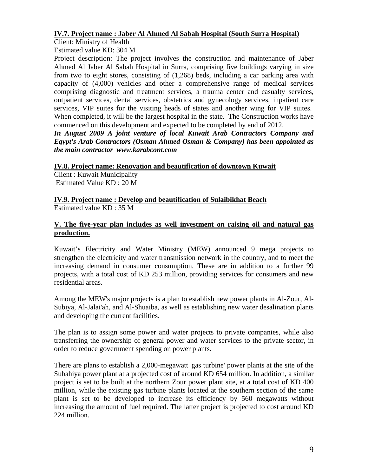# **IV.7. Project name : Jaber Al Ahmed Al Sabah Hospital (South Surra Hospital)**

Client: Ministry of Health

Estimated value KD: 304 M

Project description: The project involves the construction and maintenance of Jaber Ahmed Al Jaber Al Sabah Hospital in Surra, comprising five buildings varying in size from two to eight stores, consisting of (1,268) beds, including a car parking area with capacity of (4,000) vehicles and other a comprehensive range of medical services comprising diagnostic and treatment services, a trauma center and casualty services, outpatient services, dental services, obstetrics and gynecology services, inpatient care services, VIP suites for the visiting heads of states and another wing for VIP suites. When completed, it will be the largest hospital in the state. The Construction works have commenced on this development and expected to be completed by end of 2012.

*In August 2009 A joint venture of local Kuwait Arab Contractors Company and Egypt's Arab Contractors (Osman Ahmed Osman & Company) has been appointed as the main contractor www.karabcont.com*

### **IV.8. Project name: Renovation and beautification of downtown Kuwait**

Client : Kuwait Municipality Estimated Value KD : 20 M

# **IV.9. Project name : Develop and beautification of Sulaibikhat Beach**

Estimated value KD : 35 M

# **V. The five-year plan includes as well investment on raising oil and natural gas production.**

Kuwait's Electricity and Water Ministry (MEW) announced 9 mega projects to strengthen the electricity and water transmission network in the country, and to meet the increasing demand in consumer consumption. These are in addition to a further 99 projects, with a total cost of KD 253 million, providing services for consumers and new residential areas.

Among the MEW's major projects is a plan to establish new power plants in Al-Zour, Al-Subiya, Al-Jalai'ah, and Al-Shuaiba, as well as establishing new water desalination plants and developing the current facilities.

The plan is to assign some power and water projects to private companies, while also transferring the ownership of general power and water services to the private sector, in order to reduce government spending on power plants.

There are plans to establish a 2,000-megawatt 'gas turbine' power plants at the site of the Subahiya power plant at a projected cost of around KD 654 million. In addition, a similar project is set to be built at the northern Zour power plant site, at a total cost of KD 400 million, while the existing gas turbine plants located at the southern section of the same plant is set to be developed to increase its efficiency by 560 megawatts without increasing the amount of fuel required. The latter project is projected to cost around KD 224 million.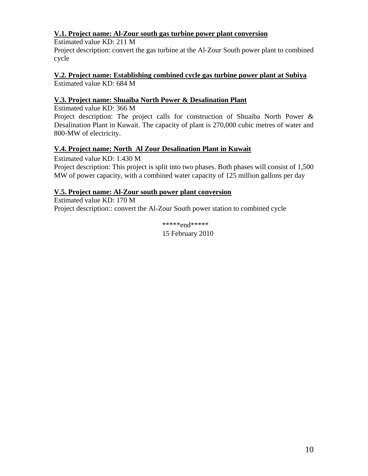# **V.1. Project name: Al-Zour south gas turbine power plant conversion**

Estimated value KD: 211 M Project description: convert the gas turbine at the Al-Zour South power plant to combined cycle

Estimated value KD: 684 M **V.2. Project name: Establishing combined cycle gas turbine power plant at Subiya** 

# **V.3. Project name: Shuaiba North Power & Desalination Plant**

Estimated value KD: 366 M

Project description: The project calls for construction of Shuaiba North Power & Desalination Plant in Kuwait. The capacity of plant is 270,000 cubic metres of water and 800-MW of electricity.

# **V.4. Project name: North Al Zour Desalination Plant in Kuwait**

Estimated value KD: 1.430 M Project description: This project is split into two phases. Both phases will consist of 1,500 MW of power capacity, with a combined water capacity of 125 million gallons per day

# **V.5. Project name: Al-Zour south power plant conversion**

Estimated value KD: 170 M Project description:: convert the Al-Zour South power station to combined cycle

> \*\*\*\*\*end\*\*\*\*\* 15 February 2010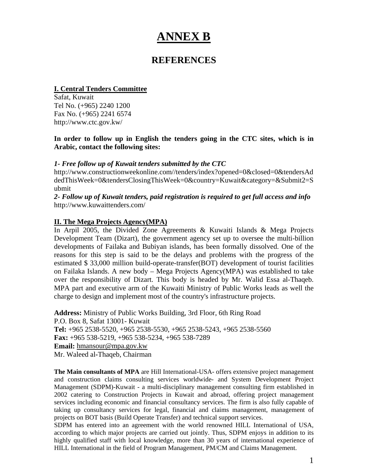# **ANNEX B**

# **REFERENCES**

### **I. Central Tenders Committee**

Safat, Kuwait Tel No. (+965) 2240 1200 Fax No. (+965) 2241 6574 http://www.ctc.gov.kw/

### **In order to follow up in English the tenders going in the CTC sites, which is in Arabic, contact the following sites:**

# *1- Free follow up of Kuwait tenders submitted by the CTC*

[http://www.constructionweekonline.com//tenders/index?opened=0&closed=0&tendersAd](http://www.constructionweekonline.com/tenders/index?opened=0&closed=0&tendersAddedThisWeek=0&tendersClosingThisWeek=0&country=Kuwait&category=&Submit2=Submit) [dedThisWeek=0&tendersClosingThisWeek=0&country=Kuwait&category=&Submit2=S](http://www.constructionweekonline.com/tenders/index?opened=0&closed=0&tendersAddedThisWeek=0&tendersClosingThisWeek=0&country=Kuwait&category=&Submit2=Submit) [ubmit](http://www.constructionweekonline.com/tenders/index?opened=0&closed=0&tendersAddedThisWeek=0&tendersClosingThisWeek=0&country=Kuwait&category=&Submit2=Submit)

*2- Follow up of Kuwait tenders, paid registration is required to get full access and info* <http://www.kuwaittenders.com/>

# **II. The Mega Projects Agency(MPA)**

In Arpil 2005, the Divided Zone Agreements & Kuwaiti Islands & Mega Projects Development Team (Dizart), the government agency set up to oversee the multi-billion developments of Failaka and Bubiyan islands, has been formally dissolved. One of the reasons for this step is said to be the delays and problems with the progress of the estimated \$ 33,000 million build-operate-transfer(BOT) development of tourist facilities on Failaka Islands. A new body – Mega Projects Agency(MPA) was established to take over the responsibility of Dizart. This body is headed by Mr. Walid Essa al-Thaqeb. MPA part and executive arm of the Kuwaiti [Ministry of Public Works](http://www.zawya.com/cm/profile.cfm/cid1003749) leads as well the charge to design and implement most of the country's infrastructure projects.

**Address:** Ministry of Public Works Building, 3rd Floor, 6th Ring Road P.O. Box 8, Safat 13001- Kuwait **Tel:** +965 2538-5520, +965 2538-5530, +965 2538-5243, +965 2538-5560 **Fax:** +965 538-5219, +965 538-5234, +965 538-7289 **Email:** [hmansour@mpa.gov.kw](mailto:hmansour@mpa.gov.kw) Mr. Waleed al**-**Thaqeb, Chairman

**The Main consultants of MPA** are Hill International-USA- offers extensive project management and construction claims consulting services worldwide- and System Development Project Management (SDPM)-Kuwait - a multi-disciplinary management consulting firm established in 2002 catering to Construction Projects in Kuwait and abroad, offering project management services including economic and financial consultancy services. The firm is also fully capable of taking up consultancy services for legal, financial and claims management, management of projects on BOT basis (Build Operate Transfer) and technical support services.

SDPM has entered into an agreement with the world renowned HILL International of USA, according to which major projects are carried out jointly. Thus, SDPM enjoys in addition to its highly qualified staff with local knowledge, more than 30 years of international experience of HILL International in the field of Program Management, PM/CM and Claims Management.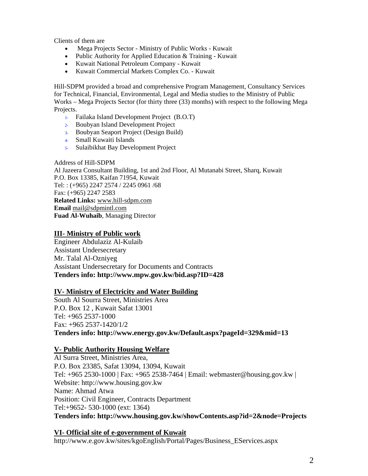Clients of them are

- Mega Projects Sector Ministry of Public Works Kuwait
- Public Authority for Applied Education & Training Kuwait
- Kuwait National Petroleum Company Kuwait
- Kuwait Commercial Markets Complex Co. Kuwait

Hill-SDPM provided a broad and comprehensive Program Management, Consultancy Services for Technical, Financial, Environmental, Legal and Media studies to the Ministry of Public Works – Mega Projects Sector (for thirty three (33) months) with respect to the following Mega Projects.

- 1- Failaka Island Development Project (B.O.T)
- 2- Boubyan Island Development Project
- 3- Boubyan Seaport Project (Design Build)
- 4- Small Kuwaiti Islands
- 5- Sulaibikhat Bay Development Project

#### Address of Hill-SDPM

Al Jazeera Consultant Building, 1st and 2nd Floor, Al Mutanabi Street, Sharq, Kuwait P.O. Box 13385, Kaifan 71954, Kuwait Tel: : (+965) 2247 2574 / 2245 0961 /68 Fax: (+965) 2247 2583 **Related Links:** [www.hill-sdpm.com](javascript:void(0);) **Email** [mail@sdpmintl.com](mailto:mail@sdpmintl.com) **Fuad Al-Wuhaib**, Managing Director

#### *<sup>U</sup>***III- Ministry of Public work**

Engineer Abdulaziz Al-Kulaib Assistant Undersecretary Mr. Talal Al-Ozniyeg Assistant Undersecretary for Documents and Contracts **Tenders info: http://www.mpw.gov.kw/bid.asp?ID=428** 

#### *U* **IV- Ministry of Electricity and Water Building**

South Al Sourra Street, Ministries Area P.O. Box 12 , Kuwait Safat 13001 Tel: +965 2537-1000 Fax: +965 2537-1420/1/2 **Tenders info: http://www.energy.gov.kw/Default.aspx?pageId=329&mid=13**

#### *U* **V- Public Authority Housing Welfare**

Al Surra Street, Ministries Area, P.O. Box 23385, Safat 13094, 13094, Kuwait Tel: +965 2530-1000 | Fax: +965 2538-7464 | Email: [webmaster@housing.gov.kw](mailto:webmaster@housing.gov.kw) | Website: [http://www.housing.gov.kw](http://www.housing.gov.kw/) Name: Ahmad Atwa Position: Civil Engineer, Contracts Department Tel:+9652- 530-1000 (ext: 1364) **Tenders info: http://www.housing.gov.kw/showContents.asp?id=2&node=Projects**

# *<sup>U</sup>***VI- Official site of e-government of Kuwait***<sup>U</sup>*

*5T*[http://www.e.gov.kw/sites/kgoEnglish/Portal/Pages/Business\\_EServices.aspx](http://www.e.gov.kw/sites/kgoEnglish/Portal/Pages/Business_EServices.aspx)*5T*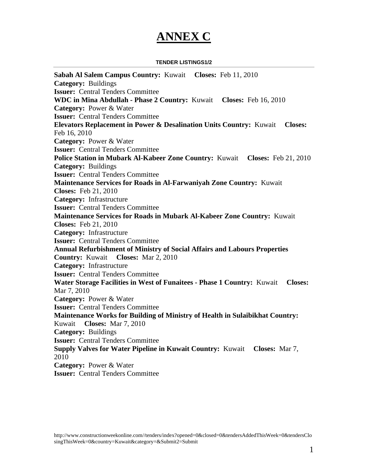# **ANNEX C**

#### **TENDER LISTINGS1/2**

**[Sabah Al Salem Campus](http://www.constructionweekonline.com/tenders-1244-sabah-al-salem-campus/) Country:** [Kuwait](http://www.constructionweekonline.com/tenders-1244-sabah-al-salem-campus/) **Closes:** [Feb 11, 2010](http://www.constructionweekonline.com/tenders-1244-sabah-al-salem-campus/) **Category:** [Buildings](http://www.constructionweekonline.com/tenders-1244-sabah-al-salem-campus/) **Issuer:** [Central Tenders Committee](http://www.constructionweekonline.com/tenders-1244-sabah-al-salem-campus/) **[WDC in Mina Abdullah -](http://www.constructionweekonline.com/tenders-943-wdc-in-mina-abdullah--phase-2/) Phase 2 Country:** [Kuwait](http://www.constructionweekonline.com/tenders-943-wdc-in-mina-abdullah--phase-2/) **Closes:** [Feb 16, 2010](http://www.constructionweekonline.com/tenders-943-wdc-in-mina-abdullah--phase-2/) **Category:** [Power & Water](http://www.constructionweekonline.com/tenders-943-wdc-in-mina-abdullah--phase-2/) **Issuer:** [Central Tenders Committee](http://www.constructionweekonline.com/tenders-943-wdc-in-mina-abdullah--phase-2/) **[Elevators Replacement in Power & Desalination Units](http://www.constructionweekonline.com/tenders-1257-elevators-replacement-in-power-desalination-units/) Country:** [Kuwait](http://www.constructionweekonline.com/tenders-1257-elevators-replacement-in-power-desalination-units/) **Closes:** [Feb 16, 2010](http://www.constructionweekonline.com/tenders-1257-elevators-replacement-in-power-desalination-units/) **Category:** [Power & Water](http://www.constructionweekonline.com/tenders-1257-elevators-replacement-in-power-desalination-units/) **Issuer:** [Central Tenders Committee](http://www.constructionweekonline.com/tenders-1257-elevators-replacement-in-power-desalination-units/) **[Police Station in Mubark Al-Kabeer Zone](http://www.constructionweekonline.com/tenders-1101-police-station-in-mubark-al-kabeer-zone/) Country:** [Kuwait](http://www.constructionweekonline.com/tenders-1101-police-station-in-mubark-al-kabeer-zone/) **Closes:** [Feb 21, 2010](http://www.constructionweekonline.com/tenders-1101-police-station-in-mubark-al-kabeer-zone/) **Category:** [Buildings](http://www.constructionweekonline.com/tenders-1101-police-station-in-mubark-al-kabeer-zone/) **Issuer:** [Central Tenders Committee](http://www.constructionweekonline.com/tenders-1101-police-station-in-mubark-al-kabeer-zone/) **[Maintenance Services for Roads in Al-Farwaniyah Zone](http://www.constructionweekonline.com/tenders-1104-maintenance-services-for-roads-in-al-farwaniyah-zone/) Country:** [Kuwait](http://www.constructionweekonline.com/tenders-1104-maintenance-services-for-roads-in-al-farwaniyah-zone/)  **Closes:** [Feb 21, 2010](http://www.constructionweekonline.com/tenders-1104-maintenance-services-for-roads-in-al-farwaniyah-zone/) **Category:** [Infrastructure](http://www.constructionweekonline.com/tenders-1104-maintenance-services-for-roads-in-al-farwaniyah-zone/) **Issuer:** [Central Tenders Committee](http://www.constructionweekonline.com/tenders-1104-maintenance-services-for-roads-in-al-farwaniyah-zone/) **[Maintenance Services for Roads in Mubark Al-Kabeer Zone](http://www.constructionweekonline.com/tenders-1105-maintenance-services-for-roads-in-mubark-al-kabeer-zone/) Country:** [Kuwait](http://www.constructionweekonline.com/tenders-1105-maintenance-services-for-roads-in-mubark-al-kabeer-zone/)  **Closes:** [Feb 21, 2010](http://www.constructionweekonline.com/tenders-1105-maintenance-services-for-roads-in-mubark-al-kabeer-zone/) **Category:** [Infrastructure](http://www.constructionweekonline.com/tenders-1105-maintenance-services-for-roads-in-mubark-al-kabeer-zone/) **Issuer:** [Central Tenders Committee](http://www.constructionweekonline.com/tenders-1105-maintenance-services-for-roads-in-mubark-al-kabeer-zone/) **[Annual Refurbishment of Ministry of Social Affairs and Labours Properties](http://www.constructionweekonline.com/tenders-1245-annual-refurbishment-of-ministry-of-social-affairs-and-labours-properties/) Country:** [Kuwait](http://www.constructionweekonline.com/tenders-1245-annual-refurbishment-of-ministry-of-social-affairs-and-labours-properties/) **Closes:** [Mar 2, 2010](http://www.constructionweekonline.com/tenders-1245-annual-refurbishment-of-ministry-of-social-affairs-and-labours-properties/) **Category:** [Infrastructure](http://www.constructionweekonline.com/tenders-1245-annual-refurbishment-of-ministry-of-social-affairs-and-labours-properties/) **Issuer:** [Central Tenders Committee](http://www.constructionweekonline.com/tenders-1245-annual-refurbishment-of-ministry-of-social-affairs-and-labours-properties/) **[Water Storage Facilities in West of Funaitees -](http://www.constructionweekonline.com/tenders-1107-water-storage-facilities-in-west-of-funaitees--phase-1/) Phase 1 Country:** [Kuwait](http://www.constructionweekonline.com/tenders-1107-water-storage-facilities-in-west-of-funaitees--phase-1/) **Closes:** [Mar 7, 2010](http://www.constructionweekonline.com/tenders-1107-water-storage-facilities-in-west-of-funaitees--phase-1/) **Category:** [Power & Water](http://www.constructionweekonline.com/tenders-1107-water-storage-facilities-in-west-of-funaitees--phase-1/) **Issuer:** [Central Tenders Committee](http://www.constructionweekonline.com/tenders-1107-water-storage-facilities-in-west-of-funaitees--phase-1/) **[Maintenance Works for Building of Ministry of Health in Sulaibikhat](http://www.constructionweekonline.com/tenders-1255-maintenance-works-for-building-of-ministry-of-health-in-sulaibikhat/) Country:** [Kuwait](http://www.constructionweekonline.com/tenders-1255-maintenance-works-for-building-of-ministry-of-health-in-sulaibikhat/) **Closes:** [Mar 7, 2010](http://www.constructionweekonline.com/tenders-1255-maintenance-works-for-building-of-ministry-of-health-in-sulaibikhat/) **Category:** [Buildings](http://www.constructionweekonline.com/tenders-1255-maintenance-works-for-building-of-ministry-of-health-in-sulaibikhat/) **Issuer:** [Central Tenders Committee](http://www.constructionweekonline.com/tenders-1255-maintenance-works-for-building-of-ministry-of-health-in-sulaibikhat/) **[Supply Valves for Water Pipeline in Kuwait](http://www.constructionweekonline.com/tenders-1256-supply-valves-for-water-pipeline-in-kuwait/) Country:** [Kuwait](http://www.constructionweekonline.com/tenders-1256-supply-valves-for-water-pipeline-in-kuwait/) **Closes:** [Mar 7,](http://www.constructionweekonline.com/tenders-1256-supply-valves-for-water-pipeline-in-kuwait/)  [2010](http://www.constructionweekonline.com/tenders-1256-supply-valves-for-water-pipeline-in-kuwait/) **Category:** [Power & Water](http://www.constructionweekonline.com/tenders-1256-supply-valves-for-water-pipeline-in-kuwait/) **Issuer:** [Central Tenders Committee](http://www.constructionweekonline.com/tenders-1256-supply-valves-for-water-pipeline-in-kuwait/)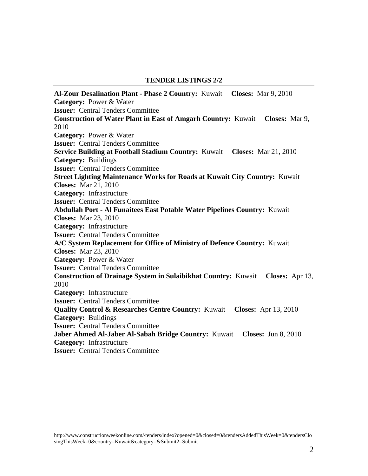#### **TENDER LISTINGS 2/2**

**[Al-Zour Desalination Plant -](http://www.constructionweekonline.com/tenders-402-al-zour-desalination-plant--phase-2/) Phase 2 Country:** [Kuwait](http://www.constructionweekonline.com/tenders-402-al-zour-desalination-plant--phase-2/) **Closes:** [Mar 9, 2010](http://www.constructionweekonline.com/tenders-402-al-zour-desalination-plant--phase-2/) **Category:** [Power & Water](http://www.constructionweekonline.com/tenders-402-al-zour-desalination-plant--phase-2/) **Issuer:** [Central Tenders Committee](http://www.constructionweekonline.com/tenders-402-al-zour-desalination-plant--phase-2/) **[Construction of Water Plant in East of Amgarh](http://www.constructionweekonline.com/tenders-1199-construction-of-water-plant-in-east-of-amgarh/) Country:** [Kuwait](http://www.constructionweekonline.com/tenders-1199-construction-of-water-plant-in-east-of-amgarh/) **Closes:** [Mar 9,](http://www.constructionweekonline.com/tenders-1199-construction-of-water-plant-in-east-of-amgarh/)  [2010](http://www.constructionweekonline.com/tenders-1199-construction-of-water-plant-in-east-of-amgarh/) **Category:** [Power & Water](http://www.constructionweekonline.com/tenders-1199-construction-of-water-plant-in-east-of-amgarh/) **Issuer:** [Central Tenders Committee](http://www.constructionweekonline.com/tenders-1199-construction-of-water-plant-in-east-of-amgarh/) **[Service Building at Football Stadium](http://www.constructionweekonline.com/tenders-456-service-building-at-football-stadium/) Country:** [Kuwait](http://www.constructionweekonline.com/tenders-456-service-building-at-football-stadium/) **Closes:** [Mar 21, 2010](http://www.constructionweekonline.com/tenders-456-service-building-at-football-stadium/) **Category:** [Buildings](http://www.constructionweekonline.com/tenders-456-service-building-at-football-stadium/) **Issuer:** [Central Tenders Committee](http://www.constructionweekonline.com/tenders-456-service-building-at-football-stadium/) **[Street Lighting Maintenance Works for Roads at Kuwait City](http://www.constructionweekonline.com/tenders-1253-street-lighting-maintenance-works-for-roads-at-kuwait-city/) Country:** [Kuwait](http://www.constructionweekonline.com/tenders-1253-street-lighting-maintenance-works-for-roads-at-kuwait-city/)  **Closes:** [Mar 21, 2010](http://www.constructionweekonline.com/tenders-1253-street-lighting-maintenance-works-for-roads-at-kuwait-city/) **Category:** [Infrastructure](http://www.constructionweekonline.com/tenders-1253-street-lighting-maintenance-works-for-roads-at-kuwait-city/) **Issuer:** [Central Tenders Committee](http://www.constructionweekonline.com/tenders-1253-street-lighting-maintenance-works-for-roads-at-kuwait-city/) **Abdullah Port - [Al Funaitees East Potable Water Pipelines](http://www.constructionweekonline.com/tenders-412-abdullah-port--al-funaitees-east-potable-water-pipelines/) Country:** [Kuwait](http://www.constructionweekonline.com/tenders-412-abdullah-port--al-funaitees-east-potable-water-pipelines/)  **Closes:** [Mar 23, 2010](http://www.constructionweekonline.com/tenders-412-abdullah-port--al-funaitees-east-potable-water-pipelines/) **Category:** [Infrastructure](http://www.constructionweekonline.com/tenders-412-abdullah-port--al-funaitees-east-potable-water-pipelines/) **Issuer:** [Central Tenders Committee](http://www.constructionweekonline.com/tenders-412-abdullah-port--al-funaitees-east-potable-water-pipelines/) **[A/C System Replacement for Office of Ministry of Defence](http://www.constructionweekonline.com/tenders-1254-ac-system-replacement-for-office-of-ministry-of-defence/) Country:** [Kuwait](http://www.constructionweekonline.com/tenders-1254-ac-system-replacement-for-office-of-ministry-of-defence/)  **Closes:** [Mar 23, 2010](http://www.constructionweekonline.com/tenders-1254-ac-system-replacement-for-office-of-ministry-of-defence/) **Category:** [Power & Water](http://www.constructionweekonline.com/tenders-1254-ac-system-replacement-for-office-of-ministry-of-defence/) **Issuer:** [Central Tenders Committee](http://www.constructionweekonline.com/tenders-1254-ac-system-replacement-for-office-of-ministry-of-defence/) **[Construction of Drainage System in Sulaibikhat](http://www.constructionweekonline.com/tenders-1251-construction-of-drainage-system-in-sulaibikhat/) Country:** [Kuwait](http://www.constructionweekonline.com/tenders-1251-construction-of-drainage-system-in-sulaibikhat/) **Closes:** [Apr 13,](http://www.constructionweekonline.com/tenders-1251-construction-of-drainage-system-in-sulaibikhat/)  [2010](http://www.constructionweekonline.com/tenders-1251-construction-of-drainage-system-in-sulaibikhat/) **Category:** [Infrastructure](http://www.constructionweekonline.com/tenders-1251-construction-of-drainage-system-in-sulaibikhat/) **Issuer:** [Central Tenders Committee](http://www.constructionweekonline.com/tenders-1251-construction-of-drainage-system-in-sulaibikhat/) **[Quality Control & Researches Centre](http://www.constructionweekonline.com/tenders-1252-quality-control-researches-centre/) Country:** [Kuwait](http://www.constructionweekonline.com/tenders-1252-quality-control-researches-centre/) **Closes:** [Apr 13, 2010](http://www.constructionweekonline.com/tenders-1252-quality-control-researches-centre/) **Category:** [Buildings](http://www.constructionweekonline.com/tenders-1252-quality-control-researches-centre/) **Issuer:** [Central Tenders Committee](http://www.constructionweekonline.com/tenders-1252-quality-control-researches-centre/) **[Jaber Ahmed Al-Jaber Al-Sabah Bridge](http://www.constructionweekonline.com/tenders-1179-jaber-ahmed-al-jaber-al-sabah-bridge/) Country:** [Kuwait](http://www.constructionweekonline.com/tenders-1179-jaber-ahmed-al-jaber-al-sabah-bridge/) **Closes:** [Jun 8, 2010](http://www.constructionweekonline.com/tenders-1179-jaber-ahmed-al-jaber-al-sabah-bridge/) **Category:** [Infrastructure](http://www.constructionweekonline.com/tenders-1179-jaber-ahmed-al-jaber-al-sabah-bridge/) **Issuer:** [Central Tenders Committee](http://www.constructionweekonline.com/tenders-1179-jaber-ahmed-al-jaber-al-sabah-bridge/)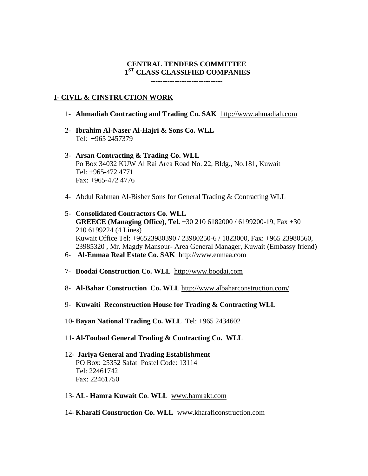# **CENTRAL TENDERS COMMITTEE 1ST CLASS CLASSIFIED COMPANIES**

**------------------------------**

### **I- CIVIL & CINSTRUCTION WORK**

- 1- **Ahmadiah Contracting and Trading Co. SAK** [http://www.ahmadiah.com](http://www.ahmadiah.com/)
- 2- **Ibrahim Al-Naser Al-Hajri & Sons Co. WLL** Tel: +965 2457379
- 3- **Arsan Contracting & Trading Co. WLL** Po Box 34032 KUW Al Rai Area Road No. 22, Bldg., No.181, Kuwait Tel: +965-472 4771 Fax: +965-472 4776
- 4- Abdul Rahman Al-Bisher Sons for General Trading & Contracting WLL
- 5- **Consolidated Contractors Co. WLL GREECE (Managing Office)**, **Tel.** +30 210 6182000 / 6199200-19, Fax +30 210 6199224 (4 Lines) Kuwait Office Tel: +96523980390 / 23980250-6 / 1823000, Fax: +965 23980560, 23985320 , Mr. Magdy Mansour- Area General Manager, Kuwait (Embassy friend)
- 6- **Al-Enmaa Real Estate Co. SAK** [http://www.enmaa.com](http://www.enmaa.com/)
- 7- **Boodai Construction Co. WLL** [http://www.boodai.com](http://www.boodai.com/)
- 8- **Al-Bahar Construction Co. WLL** <http://www.albaharconstruction.com/>
- 9- **Kuwaiti Reconstruction House for Trading & Contracting WLL**
- 10- **Bayan National Trading Co. WLL** Tel: +965 2434602
- 11- **Al-Toubad General Trading & Contracting Co. WLL**
- 12- **Jariya General and Trading Establishment** PO Box: 25352 Safat Postel Code: 13114 Tel: 22461742 Fax: 22461750
- 13- **AL- Hamra Kuwait Co**. **WLL** [www.hamrakt.com](http://www.hamrakt.com/)
- 14- **Kharafi Construction Co. WLL** [www.kharaficonstruction.com](http://www.kharaficonstruction.com/)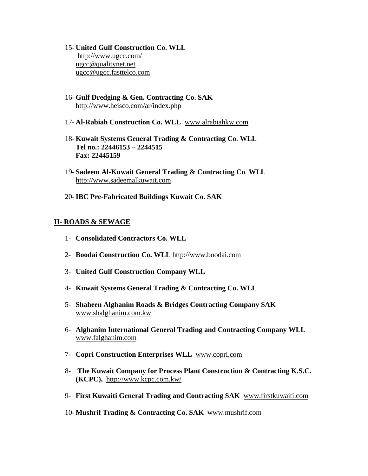- 15- **United Gulf Construction Co. WLL** <http://www.ugcc.com/> [ugcc@qualitynet.net](mailto:ugcc@qualitynet.net) [ugcc@ugcc.fasttelco.com](mailto:ugcc@ugcc.fasttelco.com)
- 16- **Gulf Dredging & Gen. Contracting Co. SAK** <http://www.heisco.com/ar/index.php>
- 17- **Al-Rabiah Construction Co. WLL** [www.alrabiahkw.com](http://www.alrabiahkw.com/)
- 18- **Kuwait Systems General Trading & Contracting Co**. **WLL Tel no.: 22446153 – 2244515 Fax: 22445159**
- 19- **Sadeem Al-Kuwait General Trading & Contracting Co**. **WLL** [http://www.sadeemalkuwait.com](http://www.sadeemalkuwait.com/)
- 20-**IBC Pre-Fabricated Buildings Kuwait Co. SAK**

# *<sup>U</sup>***II- ROADS & SEWAGE**

- 1- **Consolidated Contractors Co. WLL**
- 2- **Boodai Construction Co. WLL** [http://www.boodai.com](http://www.boodai.com/)
- 3- **United Gulf Construction Company WLL**
- 4- **Kuwait Systems General Trading & Contracting Co. WLL**
- 5- **Shaheen Alghanim Roads & Bridges Contracting Company SAK** *3TU*[www.shalghanim.com.kw](http://www.shalghanim.com.kw/)*U3T*
- 6- **Alghanim International General Trading and Contracting Company WLL**  [www.falghanim.com](http://www.falghanim.com/)
- 7- **Copri Construction Enterprises WLL** [www.copri.com](http://www.copri.com/)
- 8- **The Kuwait Company for Process Plant Construction & Contracting K.S.C. (KCPC),** <http://www.kcpc.com.kw/>
- 9- First Kuwaiti General Trading and Contracting SAK [www.firstkuwaiti.com](http://www.firstkuwaiti.com/)
- 10- **Mushrif Trading & Contracting Co. SAK** [www.mushrif.com](http://www.mushrif.com/)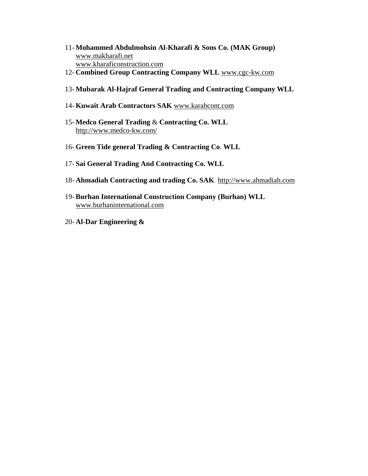- 11- **Mohammed Abdulmohsin Al-Kharafi & Sons Co. (MAK Group)**  [www.makharafi.net](http://www.makharafi.net/) [www.kharaficonstruction.com](http://www.kharaficonstruction.com/)
- 12- **Combined Group Contracting Company WLL** [www.cgc-kw.com](http://www.cgc-kw.com/)
- 13- **Mubarak Al-Hajraf General Trading and Contracting Company WLL**
- 14- **Kuwait Arab Contractors SAK** [www.karabcont.com](http://www.karabcont.com/)
- 15- **Medco General Trading** & **Contracting Co. WLL** <http://www.medco-kw.com/>
- 16- **Green Tide general Trading & Contracting Co**. **WLL**
- 17- **Sai General Trading And Contracting Co. WLL**
- 18- **Ahmadiah Contracting and trading Co. SAK** [http://www.ahmadiah.com](http://www.ahmadiah.com/)
- 19- **Burhan International Construction Company (Burhan) WLL** [www.burhaninternational.com](http://www.burhaninternational.com/)
- 20- **Al**-**Dar Engineering &**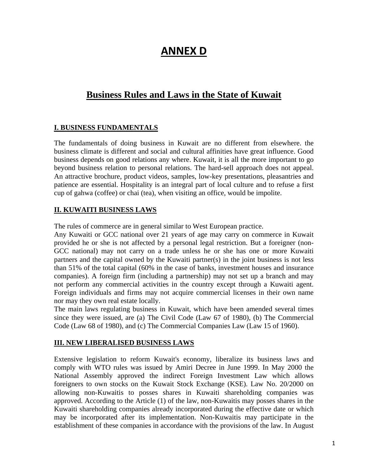# **ANNEX D**

# **Business Rules and Laws in the State of Kuwait**

# **I. BUSINESS FUNDAMENTALS**

The fundamentals of doing business in Kuwait are no different from elsewhere. the business climate is different and social and cultural affinities have great influence. Good business depends on good relations any where. Kuwait, it is all the more important to go beyond business relation to personal relations. The hard-sell approach does not appeal. An attractive brochure, product videos, samples, low-key presentations, pleasantries and patience are essential. Hospitality is an integral part of local culture and to refuse a first cup of gahwa (coffee) or chai (tea), when visiting an office, would be impolite.

# **II. KUWAITI BUSINESS LAWS**

The rules of commerce are in general similar to West European practice.

Any Kuwaiti or GCC national over 21 years of age may carry on commerce in Kuwait provided he or she is not affected by a personal legal restriction. But a foreigner (non-GCC national) may not carry on a trade unless he or she has one or more Kuwaiti partners and the capital owned by the Kuwaiti partner(s) in the joint business is not less than 51% of the total capital (60% in the case of banks, investment houses and insurance companies). A foreign firm (including a partnership) may not set up a branch and may not perform any commercial activities in the country except through a Kuwaiti agent. Foreign individuals and firms may not acquire commercial licenses in their own name nor may they own real estate locally.

The main laws regulating business in Kuwait, which have been amended several times since they were issued, are (a) The Civil Code (Law 67 of 1980), (b) The Commercial Code (Law 68 of 1980), and (c) The Commercial Companies Law (Law 15 of 1960).

# **III. NEW LIBERALISED BUSINESS LAWS**

Extensive legislation to reform Kuwait's economy, liberalize its business laws and comply with WTO rules was issued by Amiri Decree in June 1999. In May 2000 the National Assembly approved the indirect Foreign Investment Law which allows foreigners to own stocks on the Kuwait Stock Exchange (KSE). Law No. 20/2000 on allowing non-Kuwaitis to posses shares in Kuwaiti shareholding companies was approved. According to the Article (1) of the law, non-Kuwaitis may posses shares in the Kuwaiti shareholding companies already incorporated during the effective date or which may be incorporated after its implementation. Non-Kuwaitis may participate in the establishment of these companies in accordance with the provisions of the law. In August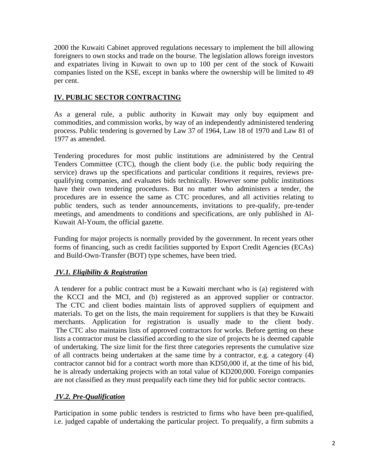2000 the Kuwaiti Cabinet approved regulations necessary to implement the bill allowing foreigners to own stocks and trade on the bourse. The legislation allows foreign investors and expatriates living in Kuwait to own up to 100 per cent of the stock of Kuwaiti companies listed on the KSE, except in banks where the ownership will be limited to 49 per cent.

# **IV. PUBLIC SECTOR CONTRACTING**

As a general rule, a public authority in Kuwait may only buy equipment and commodities, and commission works, by way of an independently administered tendering process. Public tendering is governed by Law 37 of 1964, Law 18 of 1970 and Law 81 of 1977 as amended.

Tendering procedures for most public institutions are administered by the Central Tenders Committee (CTC), though the client body (i.e. the public body requiring the service) draws up the specifications and particular conditions it requires, reviews prequalifying companies, and evaluates bids technically. However some public institutions have their own tendering procedures. But no matter who administers a tender, the procedures are in essence the same as CTC procedures, and all activities relating to public tenders, such as tender announcements, invitations to pre-qualify, pre-tender meetings, and amendments to conditions and specifications, are only published in Al-Kuwait Al-Youm, the official gazette.

Funding for major projects is normally provided by the government. In recent years other forms of financing, such as credit facilities supported by Export Credit Agencies (ECAs) and Build-Own-Transfer (BOT) type schemes, have been tried.

# *IV.1. Eligibility & Registration*

A tenderer for a public contract must be a Kuwaiti merchant who is (a) registered with the KCCI and the MCI, and (b) registered as an approved supplier or contractor. The CTC and client bodies maintain lists of approved suppliers of equipment and materials. To get on the lists, the main requirement for suppliers is that they be Kuwaiti merchants. Application for registration is usually made to the client body. The CTC also maintains lists of approved contractors for works. Before getting on these lists a contractor must be classified according to the size of projects he is deemed capable of undertaking. The size limit for the first three categories represents the cumulative size of all contracts being undertaken at the same time by a contractor, e.g. a category (4) contractor cannot bid for a contract worth more than KD50,000 if, at the time of his bid, he is already undertaking projects with an total value of KD200,000. Foreign companies are not classified as they must prequalify each time they bid for public sector contracts.

# *IV.2. Pre-Qualification*

Participation in some public tenders is restricted to firms who have been pre-qualified, i.e. judged capable of undertaking the particular project. To prequalify, a firm submits a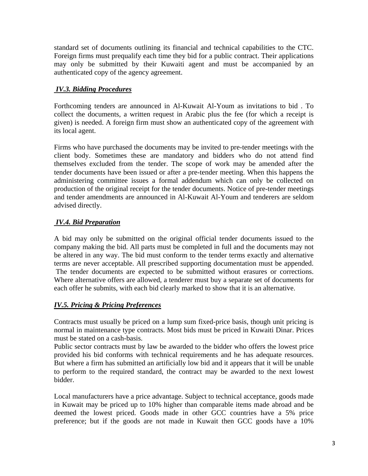standard set of documents outlining its financial and technical capabilities to the CTC. Foreign firms must prequalify each time they bid for a public contract. Their applications may only be submitted by their Kuwaiti agent and must be accompanied by an authenticated copy of the agency agreement.

# *IV.3. Bidding Procedures*

Forthcoming tenders are announced in Al-Kuwait Al-Youm as invitations to bid . To collect the documents, a written request in Arabic plus the fee (for which a receipt is given) is needed. A foreign firm must show an authenticated copy of the agreement with its local agent.

Firms who have purchased the documents may be invited to pre-tender meetings with the client body. Sometimes these are mandatory and bidders who do not attend find themselves excluded from the tender. The scope of work may be amended after the tender documents have been issued or after a pre-tender meeting. When this happens the administering committee issues a formal addendum which can only be collected on production of the original receipt for the tender documents. Notice of pre-tender meetings and tender amendments are announced in Al-Kuwait Al-Youm and tenderers are seldom advised directly.

# *IV.4. Bid Preparation*

A bid may only be submitted on the original official tender documents issued to the company making the bid. All parts must be completed in full and the documents may not be altered in any way. The bid must conform to the tender terms exactly and alternative terms are never acceptable. All prescribed supporting documentation must be appended. The tender documents are expected to be submitted without erasures or corrections. Where alternative offers are allowed, a tenderer must buy a separate set of documents for each offer he submits, with each bid clearly marked to show that it is an alternative.

# *IV.5. Pricing & Pricing Preferences*

Contracts must usually be priced on a lump sum fixed-price basis, though unit pricing is normal in maintenance type contracts. Most bids must be priced in Kuwaiti Dinar. Prices must be stated on a cash-basis.

Public sector contracts must by law be awarded to the bidder who offers the lowest price provided his bid conforms with technical requirements and he has adequate resources. But where a firm has submitted an artificially low bid and it appears that it will be unable to perform to the required standard, the contract may be awarded to the next lowest bidder.

Local manufacturers have a price advantage. Subject to technical acceptance, goods made in Kuwait may be priced up to 10% higher than comparable items made abroad and be deemed the lowest priced. Goods made in other GCC countries have a 5% price preference; but if the goods are not made in Kuwait then GCC goods have a 10%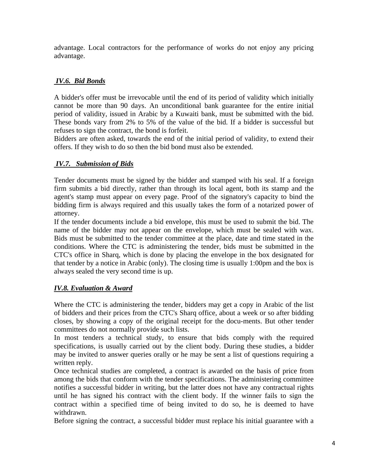advantage. Local contractors for the performance of works do not enjoy any pricing advantage.

# *IV.6. Bid Bonds*

A bidder's offer must be irrevocable until the end of its period of validity which initially cannot be more than 90 days. An unconditional bank guarantee for the entire initial period of validity, issued in Arabic by a Kuwaiti bank, must be submitted with the bid. These bonds vary from 2% to 5% of the value of the bid. If a bidder is successful but refuses to sign the contract, the bond is forfeit.

Bidders are often asked, towards the end of the initial period of validity, to extend their offers. If they wish to do so then the bid bond must also be extended.

# *IV.7. Submission of Bids*

Tender documents must be signed by the bidder and stamped with his seal. If a foreign firm submits a bid directly, rather than through its local agent, both its stamp and the agent's stamp must appear on every page. Proof of the signatory's capacity to bind the bidding firm is always required and this usually takes the form of a notarized power of attorney.

If the tender documents include a bid envelope, this must be used to submit the bid. The name of the bidder may not appear on the envelope, which must be sealed with wax. Bids must be submitted to the tender committee at the place, date and time stated in the conditions. Where the CTC is administering the tender, bids must be submitted in the CTC's office in Sharq, which is done by placing the envelope in the box designated for that tender by a notice in Arabic (only). The closing time is usually 1:00pm and the box is always sealed the very second time is up.

# *IV.8. Evaluation & Award*

Where the CTC is administering the tender, bidders may get a copy in Arabic of the list of bidders and their prices from the CTC's Sharq office, about a week or so after bidding closes, by showing a copy of the original receipt for the docu-ments. But other tender committees do not normally provide such lists.

In most tenders a technical study, to ensure that bids comply with the required specifications, is usually carried out by the client body. During these studies, a bidder may be invited to answer queries orally or he may be sent a list of questions requiring a written reply.

Once technical studies are completed, a contract is awarded on the basis of price from among the bids that conform with the tender specifications. The administering committee notifies a successful bidder in writing, but the latter does not have any contractual rights until he has signed his contract with the client body. If the winner fails to sign the contract within a specified time of being invited to do so, he is deemed to have withdrawn.

Before signing the contract, a successful bidder must replace his initial guarantee with a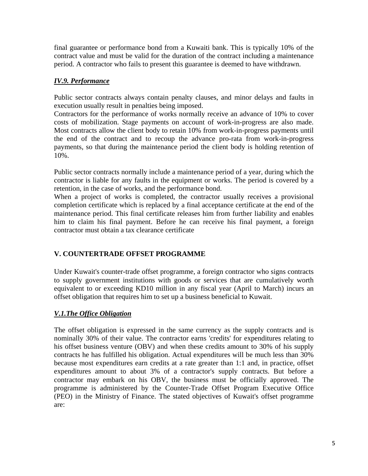final guarantee or performance bond from a Kuwaiti bank. This is typically 10% of the contract value and must be valid for the duration of the contract including a maintenance period. A contractor who fails to present this guarantee is deemed to have withdrawn.

# *IV.9. Performance*

Public sector contracts always contain penalty clauses, and minor delays and faults in execution usually result in penalties being imposed.

Contractors for the performance of works normally receive an advance of 10% to cover costs of mobilization. Stage payments on account of work-in-progress are also made. Most contracts allow the client body to retain 10% from work-in-progress payments until the end of the contract and to recoup the advance pro-rata from work-in-progress payments, so that during the maintenance period the client body is holding retention of 10%.

Public sector contracts normally include a maintenance period of a year, during which the contractor is liable for any faults in the equipment or works. The period is covered by a retention, in the case of works, and the performance bond.

When a project of works is completed, the contractor usually receives a provisional completion certificate which is replaced by a final acceptance certificate at the end of the maintenance period. This final certificate releases him from further liability and enables him to claim his final payment. Before he can receive his final payment, a foreign contractor must obtain a tax clearance certificate

# **V. COUNTERTRADE OFFSET PROGRAMME**

Under Kuwait's counter-trade offset programme, a foreign contractor who signs contracts to supply government institutions with goods or services that are cumulatively worth equivalent to or exceeding KD10 million in any fiscal year (April to March) incurs an offset obligation that requires him to set up a business beneficial to Kuwait.

# *V.1.The Office Obligation*

The offset obligation is expressed in the same currency as the supply contracts and is nominally 30% of their value. The contractor earns 'credits' for expenditures relating to his offset business venture (OBV) and when these credits amount to 30% of his supply contracts he has fulfilled his obligation. Actual expenditures will be much less than 30% because most expenditures earn credits at a rate greater than 1:1 and, in practice, offset expenditures amount to about 3% of a contractor's supply contracts. But before a contractor may embark on his OBV, the business must be officially approved. The programme is administered by the Counter-Trade Offset Program Executive Office (PEO) in the Ministry of Finance. The stated objectives of Kuwait's offset programme are: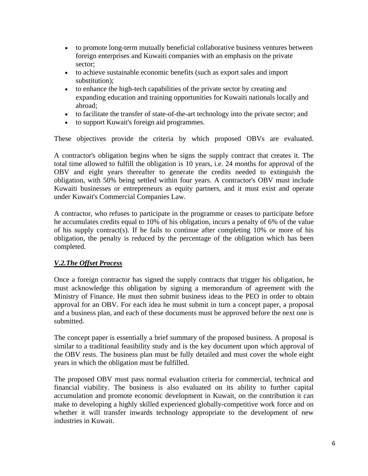- to promote long-term mutually beneficial collaborative business ventures between foreign enterprises and Kuwaiti companies with an emphasis on the private sector;
- to achieve sustainable economic benefits (such as export sales and import substitution);
- to enhance the high-tech capabilities of the private sector by creating and expanding education and training opportunities for Kuwaiti nationals locally and abroad;
- to facilitate the transfer of state-of-the-art technology into the private sector; and
- to support Kuwait's foreign aid programmes.

These objectives provide the criteria by which proposed OBVs are evaluated.

A contractor's obligation begins when he signs the supply contract that creates it. The total time allowed to fulfill the obligation is 10 years, i.e. 24 months for approval of the OBV and eight years thereafter to generate the credits needed to extinguish the obligation, with 50% being settled within four years. A contractor's OBV must include Kuwaiti businesses or entrepreneurs as equity partners, and it must exist and operate under Kuwait's Commercial Companies Law.

A contractor, who refuses to participate in the programme or ceases to participate before he accumulates credits equal to 10% of his obligation, incurs a penalty of 6% of the value of his supply contract(s). If he fails to continue after completing 10% or more of his obligation, the penalty is reduced by the percentage of the obligation which has been completed.

# *V.2.The Offset Process*

Once a foreign contractor has signed the supply contracts that trigger his obligation, he must acknowledge this obligation by signing a memorandum of agreement with the Ministry of Finance. He must then submit business ideas to the PEO in order to obtain approval for an OBV. For each idea he must submit in turn a concept paper, a proposal and a business plan, and each of these documents must be approved before the next one is submitted.

The concept paper is essentially a brief summary of the proposed business. A proposal is similar to a traditional feasibility study and is the key document upon which approval of the OBV rests. The business plan must be fully detailed and must cover the whole eight years in which the obligation must be fulfilled.

The proposed OBV must pass normal evaluation criteria for commercial, technical and financial viability. The business is also evaluated on its ability to further capital accumulation and promote economic development in Kuwait, on the contribution it can make to developing a highly skilled experienced globally-competitive work force and on whether it will transfer inwards technology appropriate to the development of new industries in Kuwait.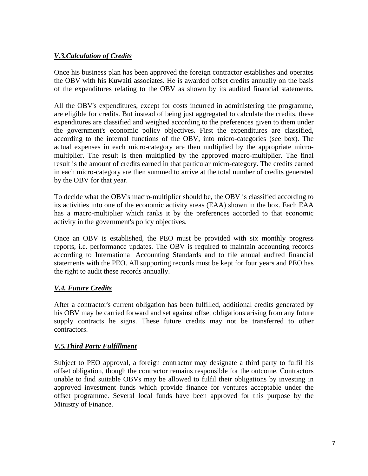# *V.3. Calculation of Credits*

Once his business plan has been approved the foreign contractor establishes and operates the OBV with his Kuwaiti associates. He is awarded offset credits annually on the basis of the expenditures relating to the OBV as shown by its audited financial statements.

All the OBV's expenditures, except for costs incurred in administering the programme, are eligible for credits. But instead of being just aggregated to calculate the credits, these expenditures are classified and weighed according to the preferences given to them under the government's economic policy objectives. First the expenditures are classified, according to the internal functions of the OBV, into micro-categories (see box). The actual expenses in each micro-category are then multiplied by the appropriate micromultiplier. The result is then multiplied by the approved macro-multiplier. The final result is the amount of credits earned in that particular micro-category. The credits earned in each micro-category are then summed to arrive at the total number of credits generated by the OBV for that year.

To decide what the OBV's macro-multiplier should be, the OBV is classified according to its activities into one of the economic activity areas (EAA) shown in the box. Each EAA has a macro-multiplier which ranks it by the preferences accorded to that economic activity in the government's policy objectives.

Once an OBV is established, the PEO must be provided with six monthly progress reports, i.e. performance updates. The OBV is required to maintain accounting records according to International Accounting Standards and to file annual audited financial statements with the PEO. All supporting records must be kept for four years and PEO has the right to audit these records annually.

# *V.4. Future Credits*

After a contractor's current obligation has been fulfilled, additional credits generated by his OBV may be carried forward and set against offset obligations arising from any future supply contracts he signs. These future credits may not be transferred to other contractors.

# *V.5.Third Party Fulfillment*

Subject to PEO approval, a foreign contractor may designate a third party to fulfil his offset obligation, though the contractor remains responsible for the outcome. Contractors unable to find suitable OBVs may be allowed to fulfil their obligations by investing in approved investment funds which provide finance for ventures acceptable under the offset programme. Several local funds have been approved for this purpose by the Ministry of Finance.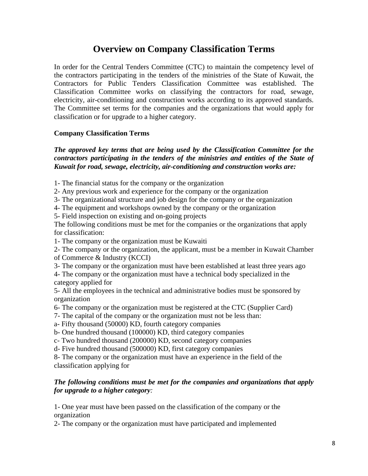# **Overview on Company Classification Terms**

In order for the Central Tenders Committee (CTC) to maintain the competency level of the contractors participating in the tenders of the ministries of the State of Kuwait, the Contractors for Public Tenders Classification Committee was established. The Classification Committee works on classifying the contractors for road, sewage, electricity, air-conditioning and construction works according to its approved standards. The Committee set terms for the companies and the organizations that would apply for classification or for upgrade to a higher category.

### **Company Classification Terms**

*The approved key terms that are being used by the Classification Committee for the contractors participating in the tenders of the ministries and entities of the State of Kuwait for road, sewage, electricity, air-conditioning and construction works are:*

1- The financial status for the company or the organization

2- Any previous work and experience for the company or the organization

3- The organizational structure and job design for the company or the organization

4- The equipment and workshops owned by the company or the organization

5- Field inspection on existing and on-going projects

The following conditions must be met for the companies or the organizations that apply for classification:

1- The company or the organization must be Kuwaiti

2- The company or the organization, the applicant, must be a member in Kuwait Chamber of Commerce & Industry (KCCI)

3- The company or the organization must have been established at least three years ago

4- The company or the organization must have a technical body specialized in the category applied for

5- All the employees in the technical and administrative bodies must be sponsored by organization

6- The company or the organization must be registered at the CTC (Supplier Card)

7- The capital of the company or the organization must not be less than:

a- Fifty thousand (50000) KD, fourth category companies

b- One hundred thousand (100000) KD, third category companies

c- Two hundred thousand (200000) KD, second category companies

d- Five hundred thousand (500000) KD, first category companies

8- The company or the organization must have an experience in the field of the classification applying for

# *The following conditions must be met for the companies and organizations that apply for upgrade to a higher category:*

1- One year must have been passed on the classification of the company or the organization

2- The company or the organization must have participated and implemented